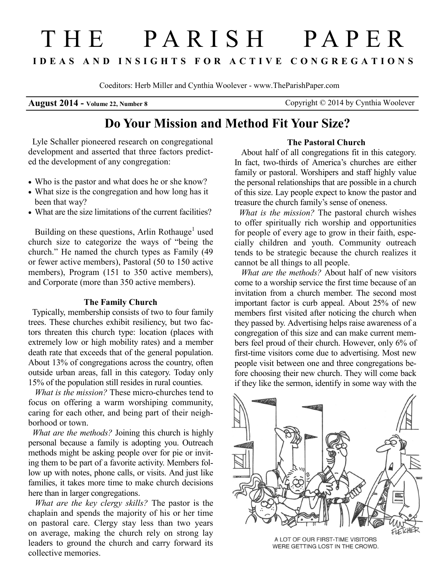# T H E P A R I S H P A P E R **I D E A S A N D I N S I G H T S F O R A C T I V E C O N G R E G A T I O N S**

Coeditors: Herb Miller and Cynthia Woolever - www.TheParishPaper.com

**August 2014 - Volume 22, Number 8** Copyright © 2014 by Cynthia Woolever

# **Do Your Mission and Method Fit Your Size?**

 Lyle Schaller pioneered research on congregational development and asserted that three factors predicted the development of any congregation:

- Who is the pastor and what does he or she know?
- What size is the congregation and how long has it been that way?
- What are the size limitations of the current facilities?

Building on these questions, Arlin Rothauge<sup>1</sup> used church size to categorize the ways of "being the church." He named the church types as Family (49 or fewer active members), Pastoral (50 to 150 active members), Program (151 to 350 active members), and Corporate (more than 350 active members).

### **The Family Church**

 Typically, membership consists of two to four family trees. These churches exhibit resiliency, but two factors threaten this church type: location (places with extremely low or high mobility rates) and a member death rate that exceeds that of the general population. About 13% of congregations across the country, often outside urban areas, fall in this category. Today only 15% of the population still resides in rural counties.

*What is the mission?* These micro-churches tend to focus on offering a warm worshiping community, caring for each other, and being part of their neighborhood or town.

 *What are the methods?* Joining this church is highly personal because a family is adopting you. Outreach methods might be asking people over for pie or inviting them to be part of a favorite activity. Members follow up with notes, phone calls, or visits. And just like families, it takes more time to make church decisions here than in larger congregations.

*What are the key clergy skills?* The pastor is the chaplain and spends the majority of his or her time on pastoral care. Clergy stay less than two years on average, making the church rely on strong lay leaders to ground the church and carry forward its collective memories.

# **The Pastoral Church**

About half of all congregations fit in this category. In fact, two-thirds of America's churches are either family or pastoral. Worshipers and staff highly value the personal relationships that are possible in a church of this size. Lay people expect to know the pastor and treasure the church family's sense of oneness.

 *What is the mission?* The pastoral church wishes to offer spiritually rich worship and opportunities for people of every age to grow in their faith, especially children and youth. Community outreach tends to be strategic because the church realizes it cannot be all things to all people.

*What are the methods?* About half of new visitors come to a worship service the first time because of an invitation from a church member. The second most important factor is curb appeal. About 25% of new members first visited after noticing the church when they passed by. Advertising helps raise awareness of a congregation of this size and can make current members feel proud of their church. However, only 6% of first-time visitors come due to advertising. Most new people visit between one and three congregations before choosing their new church. They will come back if they like the sermon, identify in some way with the



A LOT OF OUR FIRST-TIME VISITORS WERE GETTING LOST IN THE CROWD.